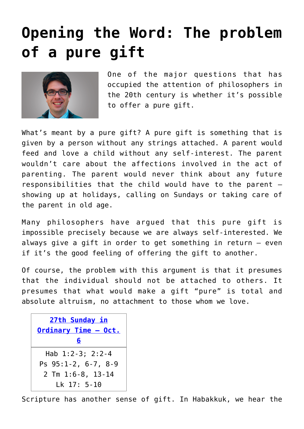## **[Opening the Word: The problem](https://www.osvnews.com/2019/09/30/opening-the-word-the-problem-of-a-pure-gift/) [of a pure gift](https://www.osvnews.com/2019/09/30/opening-the-word-the-problem-of-a-pure-gift/)**



One of the major questions that has occupied the attention of philosophers in the 20th century is whether it's possible to offer a pure gift.

What's meant by a pure gift? A pure gift is something that is given by a person without any strings attached. A parent would feed and love a child without any self-interest. The parent wouldn't care about the affections involved in the act of parenting. The parent would never think about any future responsibilities that the child would have to the parent showing up at holidays, calling on Sundays or taking care of the parent in old age.

Many philosophers have argued that this pure gift is impossible precisely because we are always self-interested. We always give a gift in order to get something in return — even if it's the good feeling of offering the gift to another.

Of course, the problem with this argument is that it presumes that the individual should not be attached to others. It presumes that what would make a gift "pure" is total and absolute altruism, no attachment to those whom we love.

```
27th Sunday in
Ordinary Time – Oct.
         6
  Hab 1:2-3; 2:2-4
Ps 95:1-2, 6-7, 8-9
 2 Tm 1:6-8, 13-14
    Lk 17: 5-10
```
Scripture has another sense of gift. In Habakkuk, we hear the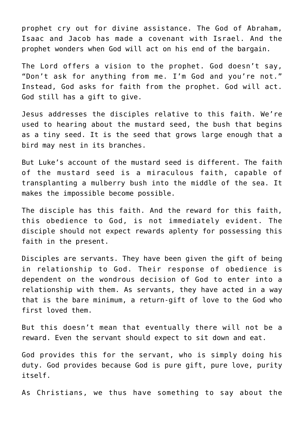prophet cry out for divine assistance. The God of Abraham, Isaac and Jacob has made a covenant with Israel. And the prophet wonders when God will act on his end of the bargain.

The Lord offers a vision to the prophet. God doesn't say, "Don't ask for anything from me. I'm God and you're not." Instead, God asks for faith from the prophet. God will act. God still has a gift to give.

Jesus addresses the disciples relative to this faith. We're used to hearing about the mustard seed, the bush that begins as a tiny seed. It is the seed that grows large enough that a bird may nest in its branches.

But Luke's account of the mustard seed is different. The faith of the mustard seed is a miraculous faith, capable of transplanting a mulberry bush into the middle of the sea. It makes the impossible become possible.

The disciple has this faith. And the reward for this faith, this obedience to God, is not immediately evident. The disciple should not expect rewards aplenty for possessing this faith in the present.

Disciples are servants. They have been given the gift of being in relationship to God. Their response of obedience is dependent on the wondrous decision of God to enter into a relationship with them. As servants, they have acted in a way that is the bare minimum, a return-gift of love to the God who first loved them.

But this doesn't mean that eventually there will not be a reward. Even the servant should expect to sit down and eat.

God provides this for the servant, who is simply doing his duty. God provides because God is pure gift, pure love, purity itself.

As Christians, we thus have something to say about the